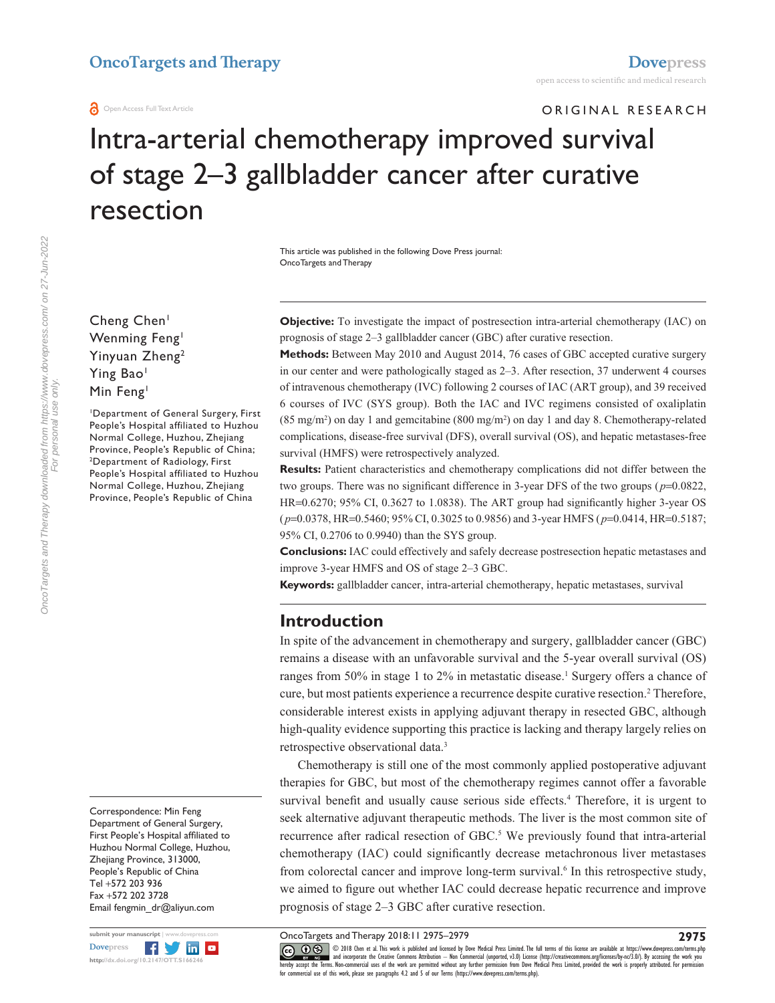## **OncoTargets and Therapy [Dovepress](www.dovepress.com)**

#### **a** Open Access Full Text Article

ORIGINAL RESEARCH

# Intra-arterial chemotherapy improved survival of stage 2–3 gallbladder cancer after curative resection

This article was published in the following Dove Press journal: OncoTargets and Therapy

Cheng Chen<sup>1</sup> Wenming Feng<sup>1</sup> Yinyuan Zheng2 Ying Bao<sup>1</sup> Min Feng<sup>1</sup>

1 Department of General Surgery, First People's Hospital affiliated to Huzhou Normal College, Huzhou, Zhejiang Province, People's Republic of China; 2 <sup>2</sup>Department of Radiology, First People's Hospital affiliated to Huzhou Normal College, Huzhou, Zhejiang Province, People's Republic of China

Correspondence: Min Feng Department of General Surgery, First People's Hospital affiliated to Huzhou Normal College, Huzhou, Zhejiang Province, 313000, People's Republic of China Tel +572 203 936 Fax +572 202 3728 Email [fengmin\\_dr@aliyun.com](mailto:fengmin_dr@aliyun.com)



**Objective:** To investigate the impact of postresection intra-arterial chemotherapy (IAC) on prognosis of stage 2–3 gallbladder cancer (GBC) after curative resection.

**Methods:** Between May 2010 and August 2014, 76 cases of GBC accepted curative surgery in our center and were pathologically staged as 2–3. After resection, 37 underwent 4 courses of intravenous chemotherapy (IVC) following 2 courses of IAC (ART group), and 39 received 6 courses of IVC (SYS group). Both the IAC and IVC regimens consisted of oxaliplatin  $(85 \text{ mg/m}^2)$  on day 1 and gemcitabine  $(800 \text{ mg/m}^2)$  on day 1 and day 8. Chemotherapy-related complications, disease-free survival (DFS), overall survival (OS), and hepatic metastases-free survival (HMFS) were retrospectively analyzed.

**Results:** Patient characteristics and chemotherapy complications did not differ between the two groups. There was no significant difference in 3-year DFS of the two groups (*p*=0.0822, HR=0.6270; 95% CI, 0.3627 to 1.0838). The ART group had significantly higher 3-year OS (*p*=0.0378, HR=0.5460; 95% CI, 0.3025 to 0.9856) and 3-year HMFS (*p*=0.0414, HR=0.5187; 95% CI, 0.2706 to 0.9940) than the SYS group.

**Conclusions:** IAC could effectively and safely decrease postresection hepatic metastases and improve 3-year HMFS and OS of stage 2–3 GBC.

**Keywords:** gallbladder cancer, intra-arterial chemotherapy, hepatic metastases, survival

## **Introduction**

In spite of the advancement in chemotherapy and surgery, gallbladder cancer (GBC) remains a disease with an unfavorable survival and the 5-year overall survival (OS) ranges from 50% in stage 1 to 2% in metastatic disease.<sup>1</sup> Surgery offers a chance of cure, but most patients experience a recurrence despite curative resection.<sup>2</sup> Therefore, considerable interest exists in applying adjuvant therapy in resected GBC, although high-quality evidence supporting this practice is lacking and therapy largely relies on retrospective observational data.3

Chemotherapy is still one of the most commonly applied postoperative adjuvant therapies for GBC, but most of the chemotherapy regimes cannot offer a favorable survival benefit and usually cause serious side effects.<sup>4</sup> Therefore, it is urgent to seek alternative adjuvant therapeutic methods. The liver is the most common site of recurrence after radical resection of GBC.<sup>5</sup> We previously found that intra-arterial chemotherapy (IAC) could significantly decrease metachronous liver metastases from colorectal cancer and improve long-term survival.<sup>6</sup> In this retrospective study, we aimed to figure out whether IAC could decrease hepatic recurrence and improve prognosis of stage 2–3 GBC after curative resection.

OncoTargets and Therapy 2018:11 2975–2979

**2975**

CCC 1 © 2018 Chen et al. This work is published and licensed by Dove Medical Press Limited. The full terms of this license are available at<https://www.dovepress.com/terms.php><br>[hereby accept the Terms](http://www.dovepress.com/permissions.php). Non-commercial uses o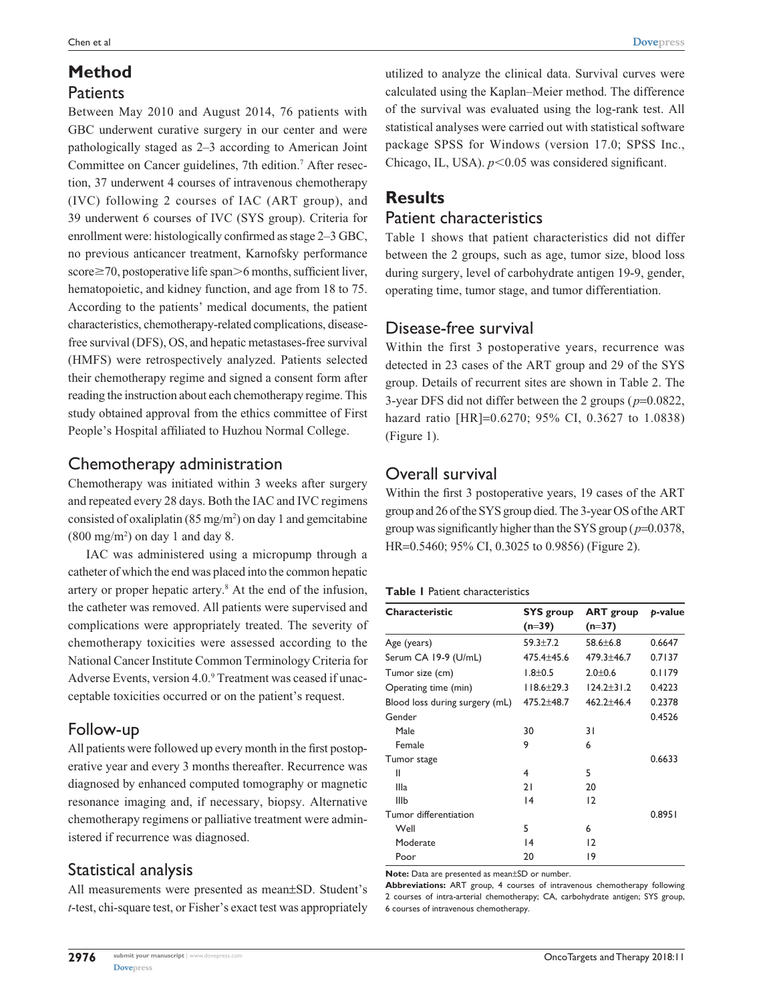## **Method**

## **Patients**

Between May 2010 and August 2014, 76 patients with GBC underwent curative surgery in our center and were pathologically staged as 2–3 according to American Joint Committee on Cancer guidelines, 7th edition.<sup>7</sup> After resection, 37 underwent 4 courses of intravenous chemotherapy (IVC) following 2 courses of IAC (ART group), and 39 underwent 6 courses of IVC (SYS group). Criteria for enrollment were: histologically confirmed as stage 2–3 GBC, no previous anticancer treatment, Karnofsky performance  $score \ge 70$ , postoperative life span $\ge 6$  months, sufficient liver, hematopoietic, and kidney function, and age from 18 to 75. According to the patients' medical documents, the patient characteristics, chemotherapy-related complications, diseasefree survival (DFS), OS, and hepatic metastases-free survival (HMFS) were retrospectively analyzed. Patients selected their chemotherapy regime and signed a consent form after reading the instruction about each chemotherapy regime. This study obtained approval from the ethics committee of First People's Hospital affiliated to Huzhou Normal College.

## Chemotherapy administration

Chemotherapy was initiated within 3 weeks after surgery and repeated every 28 days. Both the IAC and IVC regimens consisted of oxaliplatin  $(85 \text{ mg/m}^2)$  on day 1 and gemcitabine  $(800 \text{ mg/m}^2)$  on day 1 and day 8.

IAC was administered using a micropump through a catheter of which the end was placed into the common hepatic artery or proper hepatic artery.8 At the end of the infusion, the catheter was removed. All patients were supervised and complications were appropriately treated. The severity of chemotherapy toxicities were assessed according to the National Cancer Institute Common Terminology Criteria for Adverse Events, version 4.0.<sup>9</sup> Treatment was ceased if unacceptable toxicities occurred or on the patient's request.

## Follow-up

All patients were followed up every month in the first postoperative year and every 3 months thereafter. Recurrence was diagnosed by enhanced computed tomography or magnetic resonance imaging and, if necessary, biopsy. Alternative chemotherapy regimens or palliative treatment were administered if recurrence was diagnosed.

## Statistical analysis

All measurements were presented as mean±SD. Student's *t*-test, chi-square test, or Fisher's exact test was appropriately utilized to analyze the clinical data. Survival curves were calculated using the Kaplan–Meier method. The difference of the survival was evaluated using the log-rank test. All statistical analyses were carried out with statistical software package SPSS for Windows (version 17.0; SPSS Inc., Chicago, IL, USA).  $p<0.05$  was considered significant.

## **Results**

## Patient characteristics

Table 1 shows that patient characteristics did not differ between the 2 groups, such as age, tumor size, blood loss during surgery, level of carbohydrate antigen 19-9, gender, operating time, tumor stage, and tumor differentiation.

## Disease-free survival

Within the first 3 postoperative years, recurrence was detected in 23 cases of the ART group and 29 of the SYS group. Details of recurrent sites are shown in Table 2. The 3-year DFS did not differ between the 2 groups (*p*=0.0822, hazard ratio [HR]=0.6270; 95% CI, 0.3627 to 1.0838) (Figure 1).

## Overall survival

Within the first 3 postoperative years, 19 cases of the ART group and 26 of the SYS group died. The 3-year OS of the ART group was significantly higher than the SYS group (*p*=0.0378, HR=0.5460; 95% CI, 0.3025 to 0.9856) (Figure 2).

#### **Table 1** Patient characteristics

| <b>Characteristic</b>          | <b>SYS</b> group<br>$(n=39)$ | <b>ART</b> group<br>$(n=37)$ | b-value |  |
|--------------------------------|------------------------------|------------------------------|---------|--|
| Age (years)                    | $59.3 \pm 7.2$               | $58.6 \pm 6.8$               | 0.6647  |  |
| Serum CA 19-9 (U/mL)           | 475.4±45.6                   | $479.3 + 46.7$               | 0.7137  |  |
| Tumor size (cm)                | $1.8 + 0.5$                  | $2.0 + 0.6$                  | 0.1179  |  |
| Operating time (min)           | $118.6 \pm 29.3$             | $124.2 + 31.2$               | 0.4223  |  |
| Blood loss during surgery (mL) | $475.2 + 48.7$               | $462.2 + 46.4$               | 0.2378  |  |
| Gender                         |                              |                              | 0.4526  |  |
| Male                           | 30                           | 31                           |         |  |
| Female                         | 9                            | 6                            |         |  |
| Tumor stage                    |                              |                              | 0.6633  |  |
| Ш                              | 4                            | 5                            |         |  |
| Illa                           | 21                           | 20                           |         |  |
| IIIb                           | 4                            | 12                           |         |  |
| Tumor differentiation          |                              |                              | 0.8951  |  |
| Well                           | 5                            | 6                            |         |  |
| Moderate                       | 4                            | 12                           |         |  |
| Poor                           | 20                           | 19                           |         |  |

**Note:** Data are presented as mean±SD or number.

**Abbreviations:** ART group, 4 courses of intravenous chemotherapy following 2 courses of intra-arterial chemotherapy; CA, carbohydrate antigen; SYS group, 6 courses of intravenous chemotherapy.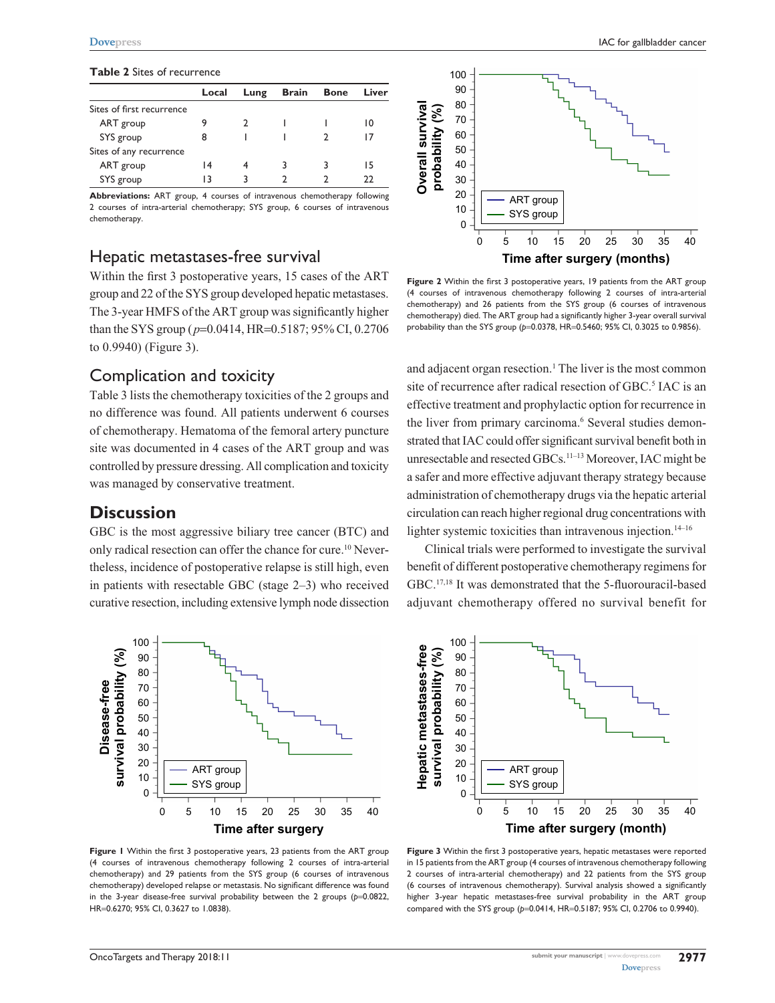#### **Table 2** Sites of recurrence

|                           | Local | Lung | <b>Brain</b> | <b>Bone</b> | Liver |
|---------------------------|-------|------|--------------|-------------|-------|
| Sites of first recurrence |       |      |              |             |       |
| ART group                 |       |      |              |             | 10    |
| SYS group                 | 8     |      |              |             | 17    |
| Sites of any recurrence   |       |      |              |             |       |
| ART group                 | 14    |      | 3            |             | 15    |
| SYS group                 | 13    |      |              |             | າາ    |

**Abbreviations:** ART group, 4 courses of intravenous chemotherapy following 2 courses of intra-arterial chemotherapy; SYS group, 6 courses of intravenous chemotherapy.

#### Hepatic metastases-free survival

Within the first 3 postoperative years, 15 cases of the ART group and 22 of the SYS group developed hepatic metastases. The 3-year HMFS of the ART group was significantly higher than the SYS group (*p*=0.0414, HR=0.5187; 95% CI, 0.2706 to 0.9940) (Figure 3).

## Complication and toxicity

Table 3 lists the chemotherapy toxicities of the 2 groups and no difference was found. All patients underwent 6 courses of chemotherapy. Hematoma of the femoral artery puncture site was documented in 4 cases of the ART group and was controlled by pressure dressing. All complication and toxicity was managed by conservative treatment.

#### **Discussion**

GBC is the most aggressive biliary tree cancer (BTC) and only radical resection can offer the chance for cure.<sup>10</sup> Nevertheless, incidence of postoperative relapse is still high, even in patients with resectable GBC (stage 2–3) who received curative resection, including extensive lymph node dissection



**Figure 1** Within the first 3 postoperative years, 23 patients from the ART group (4 courses of intravenous chemotherapy following 2 courses of intra-arterial chemotherapy) and 29 patients from the SYS group (6 courses of intravenous chemotherapy) developed relapse or metastasis. No significant difference was found in the 3-year disease-free survival probability between the 2 groups (p=0.0822, HR=0.6270; 95% CI, 0.3627 to 1.0838).



**Figure 2** Within the first 3 postoperative years, 19 patients from the ART group (4 courses of intravenous chemotherapy following 2 courses of intra-arterial chemotherapy) and 26 patients from the SYS group (6 courses of intravenous chemotherapy) died. The ART group had a significantly higher 3-year overall survival probability than the SYS group ( $p=0.0378$ , HR=0.5460; 95% CI, 0.3025 to 0.9856).

and adjacent organ resection.<sup>1</sup> The liver is the most common site of recurrence after radical resection of GBC.<sup>5</sup> IAC is an effective treatment and prophylactic option for recurrence in the liver from primary carcinoma.<sup>6</sup> Several studies demonstrated that IAC could offer significant survival benefit both in unresectable and resected GBCs.11–13 Moreover, IAC might be a safer and more effective adjuvant therapy strategy because administration of chemotherapy drugs via the hepatic arterial circulation can reach higher regional drug concentrations with lighter systemic toxicities than intravenous injection.<sup>14–16</sup>

Clinical trials were performed to investigate the survival benefit of different postoperative chemotherapy regimens for GBC.17,18 It was demonstrated that the 5-fluorouracil-based adjuvant chemotherapy offered no survival benefit for



**Figure 3** Within the first 3 postoperative years, hepatic metastases were reported in 15 patients from the ART group (4 courses of intravenous chemotherapy following 2 courses of intra-arterial chemotherapy) and 22 patients from the SYS group (6 courses of intravenous chemotherapy). Survival analysis showed a significantly higher 3-year hepatic metastases-free survival probability in the ART group compared with the SYS group (*p*=0.0414, HR=0.5187; 95% CI, 0.2706 to 0.9940).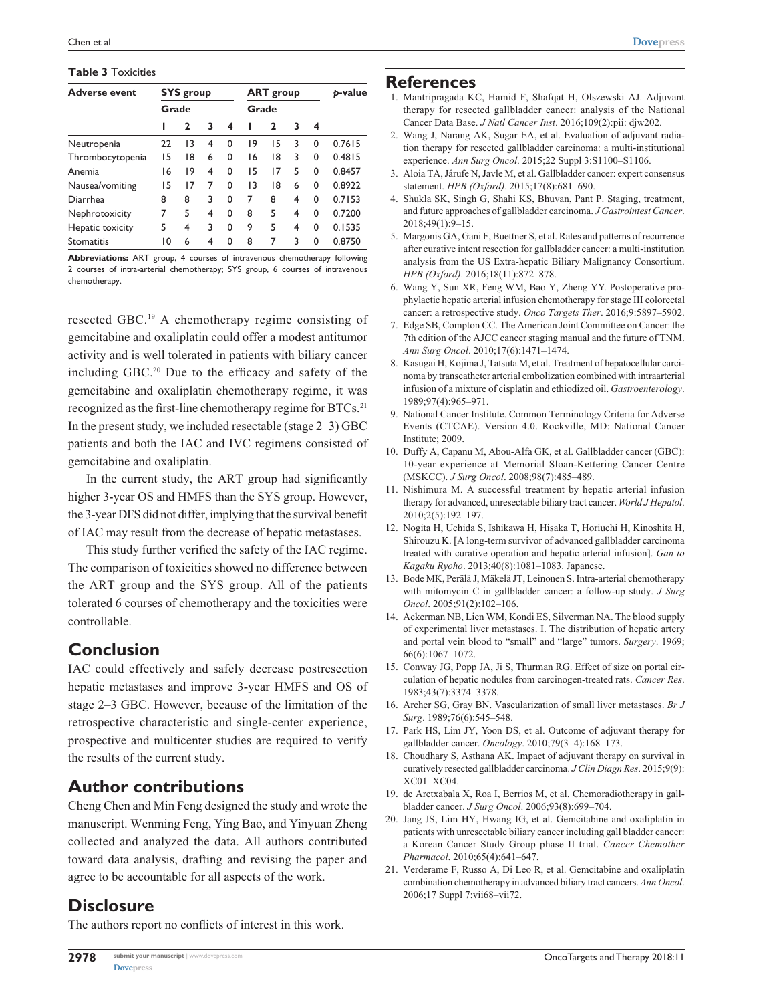#### **Table 3** Toxicities

| <b>Adverse event</b> | <b>SYS</b> group<br>Grade |    |   | <b>ART</b> group |    |              | p-value |   |        |
|----------------------|---------------------------|----|---|------------------|----|--------------|---------|---|--------|
|                      |                           |    |   | Grade            |    |              |         |   |        |
|                      |                           | 2  | 3 | 4                |    | $\mathbf{2}$ | 3       | 4 |        |
| Neutropenia          | 22                        | 13 | 4 | 0                | 19 | 15           | 3       | 0 | 0.7615 |
| Thrombocytopenia     | 15                        | 18 | 6 | 0                | 16 | 18           | 3       | 0 | 0.4815 |
| Anemia               | 16                        | 19 | 4 | 0                | 15 | 17           | 5       | 0 | 0.8457 |
| Nausea/vomiting      | 15                        | 17 | 7 | $\Omega$         | 13 | 18           | 6       | 0 | 0.8922 |
| Diarrhea             | 8                         | 8  | 3 | 0                | 7  | 8            | 4       | 0 | 0.7153 |
| Nephrotoxicity       | 7                         | 5  | 4 | $\Omega$         | 8  | 5            | 4       | 0 | 0.7200 |
| Hepatic toxicity     | 5                         | 4  | 3 | 0                | 9  | 5            | 4       | 0 | 0.1535 |
| <b>Stomatitis</b>    | 10                        | 6  | 4 | 0                | 8  | 7            | 3       | 0 | 0.8750 |

**Abbreviations:** ART group, 4 courses of intravenous chemotherapy following 2 courses of intra-arterial chemotherapy; SYS group, 6 courses of intravenous chemotherapy.

resected GBC.19 A chemotherapy regime consisting of gemcitabine and oxaliplatin could offer a modest antitumor activity and is well tolerated in patients with biliary cancer including GBC.20 Due to the efficacy and safety of the gemcitabine and oxaliplatin chemotherapy regime, it was recognized as the first-line chemotherapy regime for BTCs.<sup>21</sup> In the present study, we included resectable (stage 2–3) GBC patients and both the IAC and IVC regimens consisted of gemcitabine and oxaliplatin.

In the current study, the ART group had significantly higher 3-year OS and HMFS than the SYS group. However, the 3-year DFS did not differ, implying that the survival benefit of IAC may result from the decrease of hepatic metastases.

This study further verified the safety of the IAC regime. The comparison of toxicities showed no difference between the ART group and the SYS group. All of the patients tolerated 6 courses of chemotherapy and the toxicities were controllable.

## **Conclusion**

IAC could effectively and safely decrease postresection hepatic metastases and improve 3-year HMFS and OS of stage 2–3 GBC. However, because of the limitation of the retrospective characteristic and single-center experience, prospective and multicenter studies are required to verify the results of the current study.

## **Author contributions**

Cheng Chen and Min Feng designed the study and wrote the manuscript. Wenming Feng, Ying Bao, and Yinyuan Zheng collected and analyzed the data. All authors contributed toward data analysis, drafting and revising the paper and agree to be accountable for all aspects of the work.

## **Disclosure**

The authors report no conflicts of interest in this work.

#### **References**

- 1. Mantripragada KC, Hamid F, Shafqat H, Olszewski AJ. Adjuvant therapy for resected gallbladder cancer: analysis of the National Cancer Data Base. *J Natl Cancer Inst*. 2016;109(2):pii: djw202.
- 2. Wang J, Narang AK, Sugar EA, et al. Evaluation of adjuvant radiation therapy for resected gallbladder carcinoma: a multi-institutional experience. *Ann Surg Oncol*. 2015;22 Suppl 3:S1100–S1106.
- 3. Aloia TA, Járufe N, Javle M, et al. Gallbladder cancer: expert consensus statement. *HPB (Oxford)*. 2015;17(8):681–690.
- 4. Shukla SK, Singh G, Shahi KS, Bhuvan, Pant P. Staging, treatment, and future approaches of gallbladder carcinoma. *J Gastrointest Cancer*. 2018;49(1):9–15.
- 5. Margonis GA, Gani F, Buettner S, et al. Rates and patterns of recurrence after curative intent resection for gallbladder cancer: a multi-institution analysis from the US Extra-hepatic Biliary Malignancy Consortium. *HPB (Oxford)*. 2016;18(11):872–878.
- 6. Wang Y, Sun XR, Feng WM, Bao Y, Zheng YY. Postoperative prophylactic hepatic arterial infusion chemotherapy for stage III colorectal cancer: a retrospective study. *Onco Targets Ther*. 2016;9:5897–5902.
- 7. Edge SB, Compton CC. The American Joint Committee on Cancer: the 7th edition of the AJCC cancer staging manual and the future of TNM. *Ann Surg Oncol*. 2010;17(6):1471–1474.
- 8. Kasugai H, Kojima J, Tatsuta M, et al. Treatment of hepatocellular carcinoma by transcatheter arterial embolization combined with intraarterial infusion of a mixture of cisplatin and ethiodized oil. *Gastroenterology*. 1989;97(4):965–971.
- 9. National Cancer Institute. Common Terminology Criteria for Adverse Events (CTCAE). Version 4.0. Rockville, MD: National Cancer Institute; 2009.
- 10. Duffy A, Capanu M, Abou-Alfa GK, et al. Gallbladder cancer (GBC): 10-year experience at Memorial Sloan-Kettering Cancer Centre (MSKCC). *J Surg Oncol*. 2008;98(7):485–489.
- 11. Nishimura M. A successful treatment by hepatic arterial infusion therapy for advanced, unresectable biliary tract cancer. *World J Hepatol*. 2010;2(5):192–197.
- 12. Nogita H, Uchida S, Ishikawa H, Hisaka T, Horiuchi H, Kinoshita H, Shirouzu K. [A long-term survivor of advanced gallbladder carcinoma treated with curative operation and hepatic arterial infusion]. *Gan to Kagaku Ryoho*. 2013;40(8):1081–1083. Japanese.
- 13. Bode MK, Perälä J, Mäkelä JT, Leinonen S. Intra-arterial chemotherapy with mitomycin C in gallbladder cancer: a follow-up study. *J Surg Oncol*. 2005;91(2):102–106.
- 14. Ackerman NB, Lien WM, Kondi ES, Silverman NA. The blood supply of experimental liver metastases. I. The distribution of hepatic artery and portal vein blood to "small" and "large" tumors. *Surgery*. 1969; 66(6):1067–1072.
- 15. Conway JG, Popp JA, Ji S, Thurman RG. Effect of size on portal circulation of hepatic nodules from carcinogen-treated rats. *Cancer Res*. 1983;43(7):3374–3378.
- 16. Archer SG, Gray BN. Vascularization of small liver metastases. *Br J Surg*. 1989;76(6):545–548.
- 17. Park HS, Lim JY, Yoon DS, et al. Outcome of adjuvant therapy for gallbladder cancer. *Oncology*. 2010;79(3–4):168–173.
- 18. Choudhary S, Asthana AK. Impact of adjuvant therapy on survival in curatively resected gallbladder carcinoma. *J Clin Diagn Res*. 2015;9(9): XC01–XC04.
- 19. de Aretxabala X, Roa I, Berrios M, et al. Chemoradiotherapy in gallbladder cancer. *J Surg Oncol*. 2006;93(8):699–704.
- 20. Jang JS, Lim HY, Hwang IG, et al. Gemcitabine and oxaliplatin in patients with unresectable biliary cancer including gall bladder cancer: a Korean Cancer Study Group phase II trial. *Cancer Chemother Pharmacol*. 2010;65(4):641–647.
- 21. Verderame F, Russo A, Di Leo R, et al. Gemcitabine and oxaliplatin combination chemotherapy in advanced biliary tract cancers. *Ann Oncol*. 2006;17 Suppl 7:vii68–vii72.